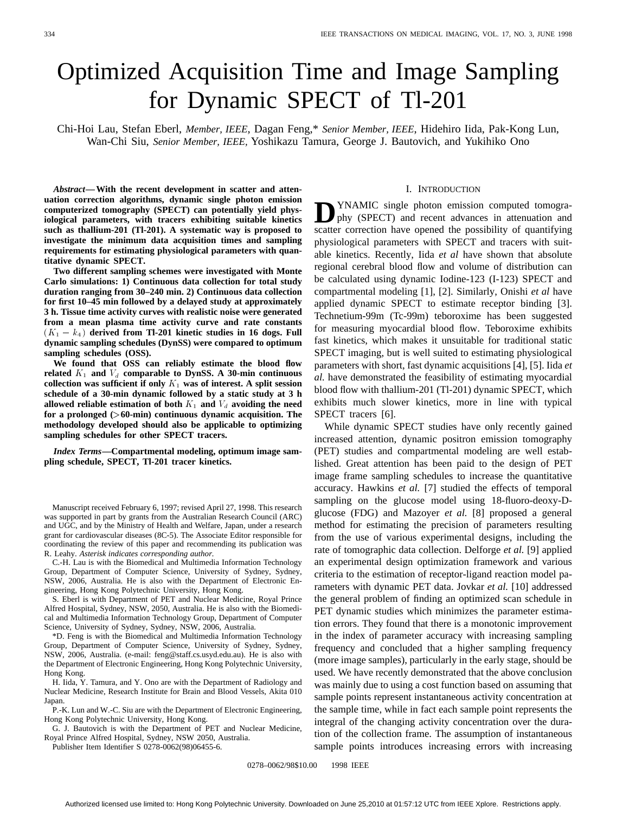# Optimized Acquisition Time and Image Sampling for Dynamic SPECT of Tl-201

Chi-Hoi Lau, Stefan Eberl, *Member, IEEE*, Dagan Feng,\* *Senior Member, IEEE*, Hidehiro Iida, Pak-Kong Lun, Wan-Chi Siu, *Senior Member, IEEE,* Yoshikazu Tamura, George J. Bautovich, and Yukihiko Ono

*Abstract—***With the recent development in scatter and attenuation correction algorithms, dynamic single photon emission computerized tomography (SPECT) can potentially yield physiological parameters, with tracers exhibiting suitable kinetics such as thallium-201 (Tl-201). A systematic way is proposed to investigate the minimum data acquisition times and sampling requirements for estimating physiological parameters with quantitative dynamic SPECT.**

**Two different sampling schemes were investigated with Monte Carlo simulations: 1) Continuous data collection for total study duration ranging from 30–240 min. 2) Continuous data collection** duration ranging from 30–240 min. 2) Continuous data collection<br>for first 10–45 min followed by a delayed study at approximately<br>3 h. Tissue time activity curves with realistic noise were generated<br>from a mean plasma time **3 h. Tissue time activity curves with realistic noise were generated from a mean plasma time activity curve and rate constants dynamic sampling schedules (DynSS) were compared to optimum sampling schedules (OSS).**

**We found that OSS can reliably estimate the blood flow** related  $K_1$  and  $V_d$  comparable to DynSS. A 30-min continuous collection was sufficient if only  $K_1$  was of interest. A split session **schedule of a 30-min dynamic followed by a static study at 3 h allowed reliable estimation of both**  $K_1$  **and**  $V_d$  **avoiding the need for a prolonged (**>**60-min) continuous dynamic acquisition. The methodology developed should also be applicable to optimizing sampling schedules for other SPECT tracers.**

*Index Terms—***Compartmental modeling, optimum image sampling schedule, SPECT, Tl-201 tracer kinetics.**

Manuscript received February 6, 1997; revised April 27, 1998. This research was supported in part by grants from the Australian Research Council (ARC) and UGC, and by the Ministry of Health and Welfare, Japan, under a research grant for cardiovascular diseases (8C-5). The Associate Editor responsible for coordinating the review of this paper and recommending its publication was R. Leahy. *Asterisk indicates corresponding author.*

C.-H. Lau is with the Biomedical and Multimedia Information Technology Group, Department of Computer Science, University of Sydney, Sydney, NSW, 2006, Australia. He is also with the Department of Electronic Engineering, Hong Kong Polytechnic University, Hong Kong.

S. Eberl is with Department of PET and Nuclear Medicine, Royal Prince Alfred Hospital, Sydney, NSW, 2050, Australia. He is also with the Biomedical and Multimedia Information Technology Group, Department of Computer Science, University of Sydney, Sydney, NSW, 2006, Australia.

\*D. Feng is with the Biomedical and Multimedia Information Technology Group, Department of Computer Science, University of Sydney, Sydney, NSW, 2006, Australia. (e-mail: feng@staff.cs.usyd.edu.au). He is also with the Department of Electronic Engineering, Hong Kong Polytechnic University, Hong Kong.

H. Iida, Y. Tamura, and Y. Ono are with the Department of Radiology and Nuclear Medicine, Research Institute for Brain and Blood Vessels, Akita 010 Japan.

P.-K. Lun and W.-C. Siu are with the Department of Electronic Engineering, Hong Kong Polytechnic University, Hong Kong.

G. J. Bautovich is with the Department of PET and Nuclear Medicine, Royal Prince Alfred Hospital, Sydney, NSW 2050, Australia.

Publisher Item Identifier S 0278-0062(98)06455-6.

#### I. INTRODUCTION

**D**YNAMIC single photon emission computed tomography (SPECT) and recent advances in attenuation and scatter correction have opened the possibility of quantifying physiological parameters with SPECT and tracers with suitable kinetics. Recently, Iida *et al* have shown that absolute regional cerebral blood flow and volume of distribution can be calculated using dynamic Iodine-123 (I-123) SPECT and compartmental modeling [1], [2]. Similarly, Onishi *et al* have applied dynamic SPECT to estimate receptor binding [3]. Technetium-99m (Tc-99m) teboroxime has been suggested for measuring myocardial blood flow. Teboroxime exhibits fast kinetics, which makes it unsuitable for traditional static SPECT imaging, but is well suited to estimating physiological parameters with short, fast dynamic acquisitions [4], [5]. Iida *et al.* have demonstrated the feasibility of estimating myocardial blood flow with thallium-201 (Tl-201) dynamic SPECT, which exhibits much slower kinetics, more in line with typical SPECT tracers [6].

While dynamic SPECT studies have only recently gained increased attention, dynamic positron emission tomography (PET) studies and compartmental modeling are well established. Great attention has been paid to the design of PET image frame sampling schedules to increase the quantitative accuracy. Hawkins *et al.* [7] studied the effects of temporal sampling on the glucose model using 18-fluoro-deoxy-Dglucose (FDG) and Mazoyer *et al.* [8] proposed a general method for estimating the precision of parameters resulting from the use of various experimental designs, including the rate of tomographic data collection. Delforge *et al.* [9] applied an experimental design optimization framework and various criteria to the estimation of receptor-ligand reaction model parameters with dynamic PET data. Jovkar *et al.* [10] addressed the general problem of finding an optimized scan schedule in PET dynamic studies which minimizes the parameter estimation errors. They found that there is a monotonic improvement in the index of parameter accuracy with increasing sampling frequency and concluded that a higher sampling frequency (more image samples), particularly in the early stage, should be used. We have recently demonstrated that the above conclusion was mainly due to using a cost function based on assuming that sample points represent instantaneous activity concentration at the sample time, while in fact each sample point represents the integral of the changing activity concentration over the duration of the collection frame. The assumption of instantaneous sample points introduces increasing errors with increasing

0278-0062/98\$10.00 © 1998 IEEE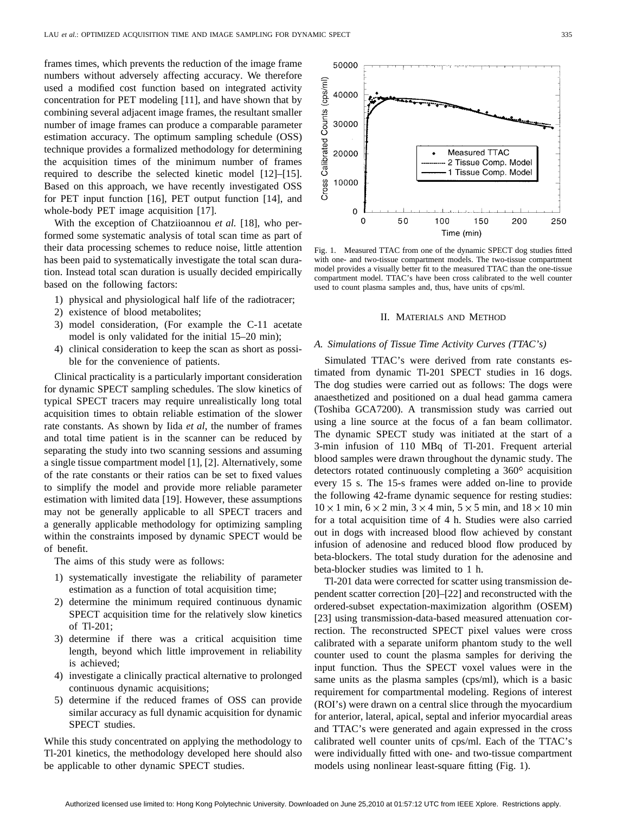frames times, which prevents the reduction of the image frame numbers without adversely affecting accuracy. We therefore used a modified cost function based on integrated activity concentration for PET modeling [11], and have shown that by combining several adjacent image frames, the resultant smaller number of image frames can produce a comparable parameter estimation accuracy. The optimum sampling schedule (OSS) technique provides a formalized methodology for determining the acquisition times of the minimum number of frames required to describe the selected kinetic model [12]–[15]. Based on this approach, we have recently investigated OSS for PET input function [16], PET output function [14], and whole-body PET image acquisition [17].

With the exception of Chatziioannou *et al.* [18], who performed some systematic analysis of total scan time as part of their data processing schemes to reduce noise, little attention has been paid to systematically investigate the total scan duration. Instead total scan duration is usually decided empirically based on the following factors:

- 1) physical and physiological half life of the radiotracer;
- 2) existence of blood metabolites;
- 3) model consideration, (For example the C-11 acetate model is only validated for the initial 15–20 min);
- 4) clinical consideration to keep the scan as short as possible for the convenience of patients.

Clinical practicality is a particularly important consideration for dynamic SPECT sampling schedules. The slow kinetics of typical SPECT tracers may require unrealistically long total acquisition times to obtain reliable estimation of the slower rate constants. As shown by Iida *et al*, the number of frames and total time patient is in the scanner can be reduced by separating the study into two scanning sessions and assuming a single tissue compartment model [1], [2]. Alternatively, some of the rate constants or their ratios can be set to fixed values to simplify the model and provide more reliable parameter estimation with limited data [19]. However, these assumptions may not be generally applicable to all SPECT tracers and a generally applicable methodology for optimizing sampling within the constraints imposed by dynamic SPECT would be of benefit.

The aims of this study were as follows:

- 1) systematically investigate the reliability of parameter estimation as a function of total acquisition time;
- 2) determine the minimum required continuous dynamic SPECT acquisition time for the relatively slow kinetics of Tl-201;
- 3) determine if there was a critical acquisition time length, beyond which little improvement in reliability is achieved;
- 4) investigate a clinically practical alternative to prolonged continuous dynamic acquisitions;
- 5) determine if the reduced frames of OSS can provide similar accuracy as full dynamic acquisition for dynamic SPECT studies.

While this study concentrated on applying the methodology to Tl-201 kinetics, the methodology developed here should also be applicable to other dynamic SPECT studies.



Fig. 1. Measured TTAC from one of the dynamic SPECT dog studies fitted with one- and two-tissue compartment models. The two-tissue compartment model provides a visually better fit to the measured TTAC than the one-tissue compartment model. TTAC's have been cross calibrated to the well counter used to count plasma samples and, thus, have units of cps/ml.

#### II. MATERIALS AND METHOD

## *A. Simulations of Tissue Time Activity Curves (TTAC's)*

Simulated TTAC's were derived from rate constants estimated from dynamic Tl-201 SPECT studies in 16 dogs. The dog studies were carried out as follows: The dogs were anaesthetized and positioned on a dual head gamma camera (Toshiba GCA7200). A transmission study was carried out using a line source at the focus of a fan beam collimator. The dynamic SPECT study was initiated at the start of a 3-min infusion of 110 MBq of Tl-201. Frequent arterial blood samples were drawn throughout the dynamic study. The detectors rotated continuously completing a  $360^\circ$  acquisition every 15 s. The 15-s frames were added on-line to provide the following 42-frame dynamic sequence for resting studies:  $10 \times 1$  min,  $6 \times 2$  min,  $3 \times 4$  min,  $5 \times 5$  min, and  $18 \times 10$  min for a total acquisition time of 4 h. Studies were also carried out in dogs with increased blood flow achieved by constant infusion of adenosine and reduced blood flow produced by beta-blockers. The total study duration for the adenosine and beta-blocker studies was limited to 1 h.

Tl-201 data were corrected for scatter using transmission dependent scatter correction [20]–[22] and reconstructed with the ordered-subset expectation-maximization algorithm (OSEM) [23] using transmission-data-based measured attenuation correction. The reconstructed SPECT pixel values were cross calibrated with a separate uniform phantom study to the well counter used to count the plasma samples for deriving the input function. Thus the SPECT voxel values were in the same units as the plasma samples (cps/ml), which is a basic requirement for compartmental modeling. Regions of interest (ROI's) were drawn on a central slice through the myocardium for anterior, lateral, apical, septal and inferior myocardial areas and TTAC's were generated and again expressed in the cross calibrated well counter units of cps/ml. Each of the TTAC's were individually fitted with one- and two-tissue compartment models using nonlinear least-square fitting (Fig. 1).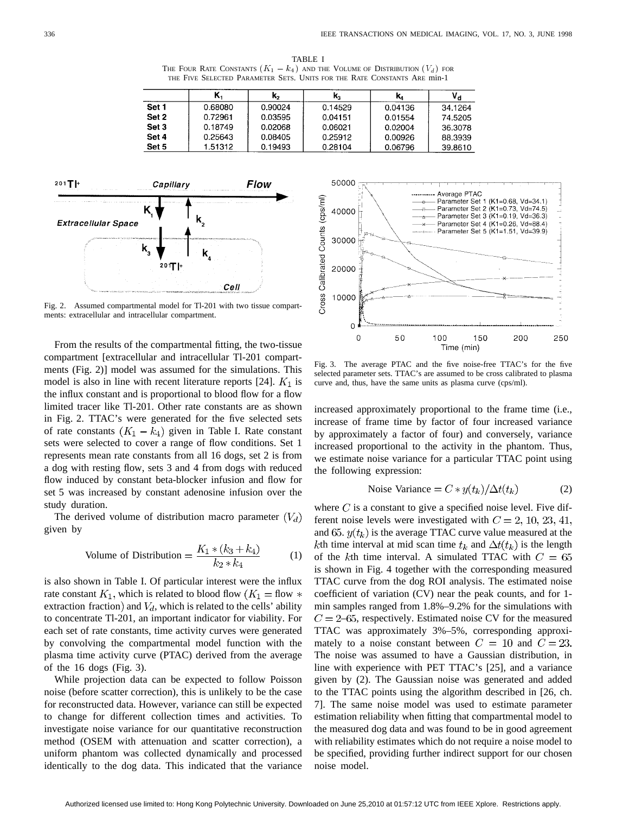TABLE I THE FOUR RATE CONSTANTS  $(K_1 - k_4)$  and the Volume of Distribution  $(V_d)$  for THE FIVE SELECTED PARAMETER SETS. UNITS FOR THE RATE CONSTANTS ARE min-1

|       |         | κ,      | к,      | K,      |         |
|-------|---------|---------|---------|---------|---------|
| Set 1 | 0.68080 | 0.90024 | 0.14529 | 0.04136 | 34.1264 |
| Set 2 | 0.72961 | 0.03595 | 0.04151 | 0.01554 | 74.5205 |
| Set 3 | 0.18749 | 0.02068 | 0.06021 | 0.02004 | 36.3078 |
| Set 4 | 0.25643 | 0.08405 | 0.25912 | 0.00926 | 88.3939 |
| Set 5 | 1.51312 | 0.19493 | 0.28104 | 0.06796 | 39.8610 |



Fig. 2. Assumed compartmental model for Tl-201 with two tissue compartments: extracellular and intracellular compartment.

From the results of the compartmental fitting, the two-tissue compartment [extracellular and intracellular Tl-201 compartments (Fig. 2)] model was assumed for the simulations. This model is also in line with recent literature reports [24].  $K_1$  is the influx constant and is proportional to blood flow for a flow limited tracer like Tl-201. Other rate constants are as shown in Fig. 2. TTAC's were generated for the five selected sets of rate constants  $(K_1 - k_4)$  given in Table I. Rate constant sets were selected to cover a range of flow conditions. Set 1 represents mean rate constants from all 16 dogs, set 2 is from a dog with resting flow, sets 3 and 4 from dogs with reduced flow induced by constant beta-blocker infusion and flow for set 5 was increased by constant adenosine infusion over the study duration.

The derived volume of distribution macro parameter  $(V_d)$ given by

Volume of Distribution = 
$$
\frac{K_1 * (k_3 + k_4)}{k_2 * k_4}
$$
 (1)

is also shown in Table I. Of particular interest were the influx rate constant  $K_1$ , which is related to blood flow  $(K_1 = flow *$ extraction fraction) and  $V_d$ , which is related to the cells' ability to concentrate Tl-201, an important indicator for viability. For each set of rate constants, time activity curves were generated by convolving the compartmental model function with the plasma time activity curve (PTAC) derived from the average of the 16 dogs (Fig. 3).

While projection data can be expected to follow Poisson noise (before scatter correction), this is unlikely to be the case for reconstructed data. However, variance can still be expected to change for different collection times and activities. To investigate noise variance for our quantitative reconstruction method (OSEM with attenuation and scatter correction), a uniform phantom was collected dynamically and processed identically to the dog data. This indicated that the variance



Fig. 3. The average PTAC and the five noise-free TTAC's for the five selected parameter sets. TTAC's are assumed to be cross calibrated to plasma curve and, thus, have the same units as plasma curve (cps/ml).

increased approximately proportional to the frame time (i.e., increase of frame time by factor of four increased variance by approximately a factor of four) and conversely, variance increased proportional to the activity in the phantom. Thus, we estimate noise variance for a particular TTAC point using the following expression:

Noise Variance = 
$$
C * y(t_k) / \Delta t(t_k)
$$
 (2)

where  $C$  is a constant to give a specified noise level. Five different noise levels were investigated with  $C = 2, 10, 23, 41,$ and 65.  $y(t_k)$  is the average TTAC curve value measured at the kth time interval at mid scan time  $t_k$  and  $\Delta t(t_k)$  is the length of the kth time interval. A simulated TTAC with  $C = 65$ is shown in Fig. 4 together with the corresponding measured TTAC curve from the dog ROI analysis. The estimated noise coefficient of variation (CV) near the peak counts, and for 1 min samples ranged from 1.8%–9.2% for the simulations with  $C = 2{\text -}65$ , respectively. Estimated noise CV for the measured TTAC was approximately 3%–5%, corresponding approximately to a noise constant between  $C = 10$  and  $C = 23$ . The noise was assumed to have a Gaussian distribution, in line with experience with PET TTAC's [25], and a variance given by (2). The Gaussian noise was generated and added to the TTAC points using the algorithm described in [26, ch. 7]. The same noise model was used to estimate parameter estimation reliability when fitting that compartmental model to the measured dog data and was found to be in good agreement with reliability estimates which do not require a noise model to be specified, providing further indirect support for our chosen noise model.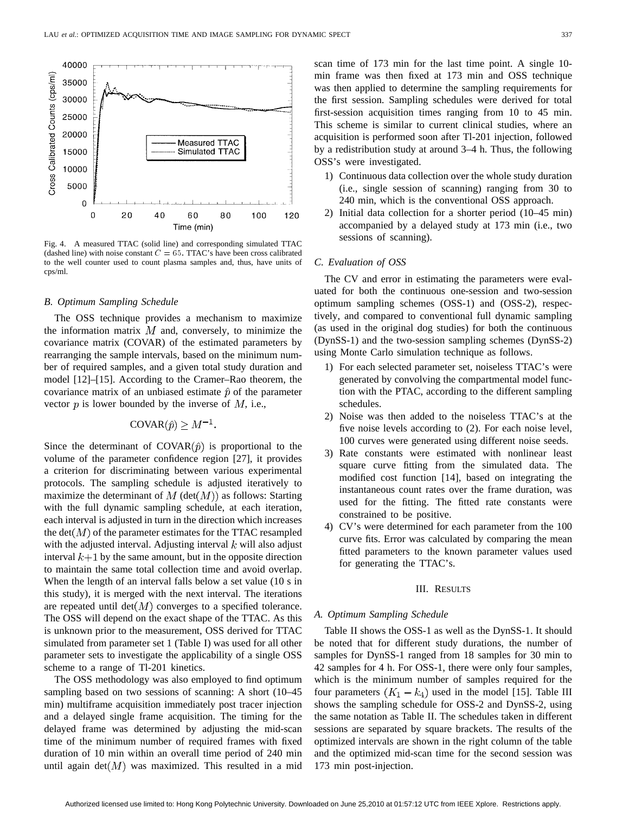

Fig. 4. A measured TTAC (solid line) and corresponding simulated TTAC (dashed line) with noise constant  $C = 65$ . TTAC's have been cross calibrated to the well counter used to count plasma samples and, thus, have units of cps/ml.

#### *B. Optimum Sampling Schedule*

The OSS technique provides a mechanism to maximize the information matrix  $M$  and, conversely, to minimize the covariance matrix (COVAR) of the estimated parameters by rearranging the sample intervals, based on the minimum number of required samples, and a given total study duration and model [12]–[15]. According to the Cramer–Rao theorem, the covariance matrix of an unbiased estimate  $\hat{p}$  of the parameter vector  $p$  is lower bounded by the inverse of  $M$ , i.e.,

## COVAR $(\hat{p}) \geq M^{-1}$ .

Since the determinant of  $COVAR(\hat{p})$  is proportional to the volume of the parameter confidence region [27], it provides a criterion for discriminating between various experimental protocols. The sampling schedule is adjusted iteratively to maximize the determinant of  $M$  (det $(M)$ ) as follows: Starting with the full dynamic sampling schedule, at each iteration, each interval is adjusted in turn in the direction which increases the det $(M)$  of the parameter estimates for the TTAC resampled with the adjusted interval. Adjusting interval  $k$  will also adjust interval  $k+1$  by the same amount, but in the opposite direction to maintain the same total collection time and avoid overlap. When the length of an interval falls below a set value (10 s in this study), it is merged with the next interval. The iterations are repeated until  $det(M)$  converges to a specified tolerance. The OSS will depend on the exact shape of the TTAC. As this is unknown prior to the measurement, OSS derived for TTAC simulated from parameter set 1 (Table I) was used for all other parameter sets to investigate the applicability of a single OSS scheme to a range of Tl-201 kinetics.

The OSS methodology was also employed to find optimum sampling based on two sessions of scanning: A short (10–45 min) multiframe acquisition immediately post tracer injection and a delayed single frame acquisition. The timing for the delayed frame was determined by adjusting the mid-scan time of the minimum number of required frames with fixed duration of 10 min within an overall time period of 240 min until again det $(M)$  was maximized. This resulted in a mid scan time of 173 min for the last time point. A single 10 min frame was then fixed at 173 min and OSS technique was then applied to determine the sampling requirements for the first session. Sampling schedules were derived for total first-session acquisition times ranging from 10 to 45 min. This scheme is similar to current clinical studies, where an acquisition is performed soon after Tl-201 injection, followed by a redistribution study at around 3–4 h. Thus, the following OSS's were investigated.

- 1) Continuous data collection over the whole study duration (i.e., single session of scanning) ranging from 30 to 240 min, which is the conventional OSS approach.
- 2) Initial data collection for a shorter period (10–45 min) accompanied by a delayed study at 173 min (i.e., two sessions of scanning).

#### *C. Evaluation of OSS*

The CV and error in estimating the parameters were evaluated for both the continuous one-session and two-session optimum sampling schemes (OSS-1) and (OSS-2), respectively, and compared to conventional full dynamic sampling (as used in the original dog studies) for both the continuous (DynSS-1) and the two-session sampling schemes (DynSS-2) using Monte Carlo simulation technique as follows.

- 1) For each selected parameter set, noiseless TTAC's were generated by convolving the compartmental model function with the PTAC, according to the different sampling schedules.
- 2) Noise was then added to the noiseless TTAC's at the five noise levels according to (2). For each noise level, 100 curves were generated using different noise seeds.
- 3) Rate constants were estimated with nonlinear least square curve fitting from the simulated data. The modified cost function [14], based on integrating the instantaneous count rates over the frame duration, was used for the fitting. The fitted rate constants were constrained to be positive.
- 4) CV's were determined for each parameter from the 100 curve fits. Error was calculated by comparing the mean fitted parameters to the known parameter values used for generating the TTAC's.

### III. RESULTS

#### *A. Optimum Sampling Schedule*

Table II shows the OSS-1 as well as the DynSS-1. It should be noted that for different study durations, the number of samples for DynSS-1 ranged from 18 samples for 30 min to 42 samples for 4 h. For OSS-1, there were only four samples, which is the minimum number of samples required for the four parameters  $(K_1 - k_4)$  used in the model [15]. Table III shows the sampling schedule for OSS-2 and DynSS-2, using the same notation as Table II. The schedules taken in different sessions are separated by square brackets. The results of the optimized intervals are shown in the right column of the table and the optimized mid-scan time for the second session was 173 min post-injection.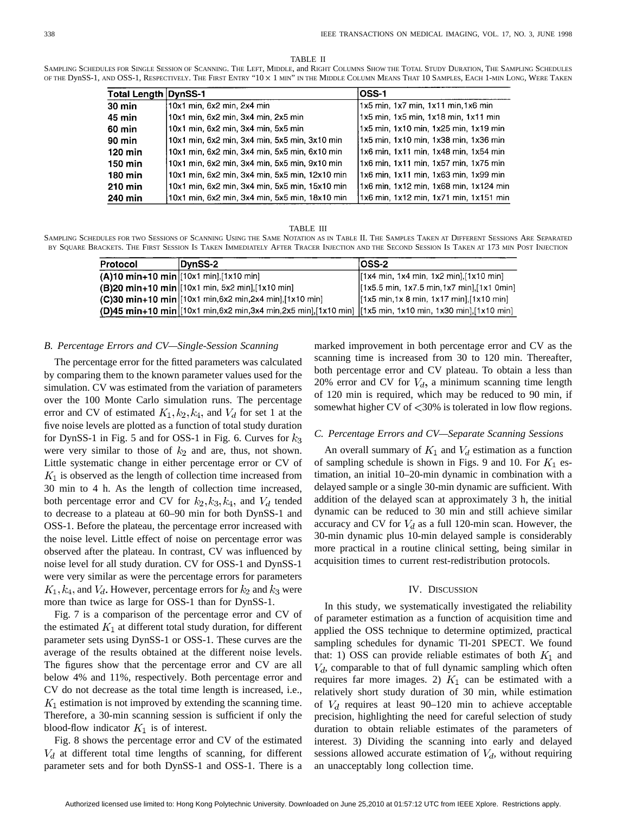#### TABLE II

SAMPLING SCHEDULES FOR SINGLE SESSION OF SCANNING. THE LEFT, MIDDLE, and RIGHT COLUMNS SHOW THE TOTAL STUDY DURATION, THE SAMPLING SCHEDULES OF THE DynSS-1, AND OSS-1, RESPECTIVELY. THE FIRST ENTRY "10 × 1 MIN" IN THE MIDDLE COLUMN MEANS THAT 10 SAMPLES, EACH 1-MIN LONG, WERE TAKEN

| <b>Total Length DynSS-1</b> |                                                | OSS-1                                  |
|-----------------------------|------------------------------------------------|----------------------------------------|
| $30 \text{ min}$            | 10x1 min, 6x2 min, 2x4 min                     | 1x5 min, 1x7 min, 1x11 min, 1x6 min    |
| 45 min                      | 10x1 min, 6x2 min, 3x4 min, 2x5 min            | 1x5 min, 1x5 min, 1x18 min, 1x11 min   |
| 60 min                      | 10x1 min, 6x2 min, 3x4 min, 5x5 min            | 1x5 min, 1x10 min, 1x25 min, 1x19 min  |
| 90 min                      | 10x1 min, 6x2 min, 3x4 min, 5x5 min, 3x10 min  | 1x5 min, 1x10 min, 1x38 min, 1x36 min  |
| 120 min                     | 10x1 min, 6x2 min, 3x4 min, 5x5 min, 6x10 min  | 1x6 min, 1x11 min, 1x48 min, 1x54 min  |
| 150 min                     | 10x1 min, 6x2 min, 3x4 min, 5x5 min, 9x10 min  | 1x6 min, 1x11 min, 1x57 min, 1x75 min  |
| 180 min                     | 10x1 min, 6x2 min, 3x4 min, 5x5 min, 12x10 min | 1x6 min, 1x11 min, 1x63 min, 1x99 min  |
| 210 min                     | 10x1 min, 6x2 min, 3x4 min, 5x5 min, 15x10 min | 1x6 min, 1x12 min, 1x68 min, 1x124 min |
| 240 min                     | 10x1 min, 6x2 min, 3x4 min, 5x5 min, 18x10 min | 1x6 min, 1x12 min, 1x71 min, 1x151 min |

#### TABLE III

SAMPLING SCHEDULES FOR TWO SESSIONS OF SCANNING USING THE SAME NOTATION AS IN TABLE II. THE SAMPLES TAKEN AT DIFFERENT SESSIONS ARE SEPARATED BY SQUARE BRACKETS. THE FIRST SESSION IS TAKEN IMMEDIATELY AFTER TRACER INJECTION AND THE SECOND SESSION IS TAKEN AT 173 MIN POST INJECTION

| Protocol | DynSS-2                                                                                                 | $ OSS-2 $                                                               |
|----------|---------------------------------------------------------------------------------------------------------|-------------------------------------------------------------------------|
|          | $(A)10 \text{ min} + 10 \text{ min}$ [10x1 min], [1x10 min]                                             | $[1x4 \text{ min}, 1x4 \text{ min}, 1x2 \text{ min}, 1x10 \text{ min}]$ |
|          | (B)20 min+10 min [10x1 min, 5x2 min], [1x10 min]                                                        | [1x5.5 min, 1x7.5 min, 1x7 min], [1x1 0min]                             |
|          | (C)30 min+10 min [10x1 min,6x2 min,2x4 min],[1x10 min]                                                  | $[1x5 min, 1x 8 min, 1x17 min], [1x10 min]$                             |
|          | (D)45 min+10 min [10x1 min,6x2 min,3x4 min,2x5 min],[1x10 min] [1x5 min, 1x10 min, 1x30 min],[1x10 min] |                                                                         |

#### *B. Percentage Errors and CV—Single-Session Scanning*

The percentage error for the fitted parameters was calculated by comparing them to the known parameter values used for the simulation. CV was estimated from the variation of parameters over the 100 Monte Carlo simulation runs. The percentage error and CV of estimated  $K_1, k_2, k_4$ , and  $V_d$  for set 1 at the five noise levels are plotted as a function of total study duration for DynSS-1 in Fig. 5 and for OSS-1 in Fig. 6. Curves for  $k_3$ were very similar to those of  $k_2$  and are, thus, not shown. Little systematic change in either percentage error or CV of  $K_1$  is observed as the length of collection time increased from 30 min to 4 h. As the length of collection time increased, both percentage error and CV for  $k_2, k_3, k_4$ , and  $V_d$  tended to decrease to a plateau at 60–90 min for both DynSS-1 and OSS-1. Before the plateau, the percentage error increased with the noise level. Little effect of noise on percentage error was observed after the plateau. In contrast, CV was influenced by noise level for all study duration. CV for OSS-1 and DynSS-1 were very similar as were the percentage errors for parameters  $K_1, k_4$ , and  $V_d$ . However, percentage errors for  $k_2$  and  $k_3$  were more than twice as large for OSS-1 than for DynSS-1.

Fig. 7 is a comparison of the percentage error and CV of the estimated  $K_1$  at different total study duration, for different parameter sets using DynSS-1 or OSS-1. These curves are the average of the results obtained at the different noise levels. The figures show that the percentage error and CV are all below 4% and 11%, respectively. Both percentage error and CV do not decrease as the total time length is increased, i.e.,  $K_1$  estimation is not improved by extending the scanning time. Therefore, a 30-min scanning session is sufficient if only the blood-flow indicator  $K_1$  is of interest.

Fig. 8 shows the percentage error and CV of the estimated  $V_d$  at different total time lengths of scanning, for different parameter sets and for both DynSS-1 and OSS-1. There is a marked improvement in both percentage error and CV as the scanning time is increased from 30 to 120 min. Thereafter, both percentage error and CV plateau. To obtain a less than 20% error and CV for  $V_d$ , a minimum scanning time length of 120 min is required, which may be reduced to 90 min, if somewhat higher CV of  $\langle 30\%$  is tolerated in low flow regions.

## *C. Percentage Errors and CV—Separate Scanning Sessions*

An overall summary of  $K_1$  and  $V_d$  estimation as a function of sampling schedule is shown in Figs. 9 and 10. For  $K_1$  estimation, an initial 10–20-min dynamic in combination with a delayed sample or a single 30-min dynamic are sufficient. With addition of the delayed scan at approximately 3 h, the initial dynamic can be reduced to 30 min and still achieve similar accuracy and CV for  $V_d$  as a full 120-min scan. However, the 30-min dynamic plus 10-min delayed sample is considerably more practical in a routine clinical setting, being similar in acquisition times to current rest-redistribution protocols.

#### IV. DISCUSSION

In this study, we systematically investigated the reliability of parameter estimation as a function of acquisition time and applied the OSS technique to determine optimized, practical sampling schedules for dynamic Tl-201 SPECT. We found that: 1) OSS can provide reliable estimates of both  $K_1$  and  $V_d$ , comparable to that of full dynamic sampling which often requires far more images. 2)  $K_1$  can be estimated with a relatively short study duration of 30 min, while estimation of  $V_d$  requires at least 90–120 min to achieve acceptable precision, highlighting the need for careful selection of study duration to obtain reliable estimates of the parameters of interest. 3) Dividing the scanning into early and delayed sessions allowed accurate estimation of  $V_d$ , without requiring an unacceptably long collection time.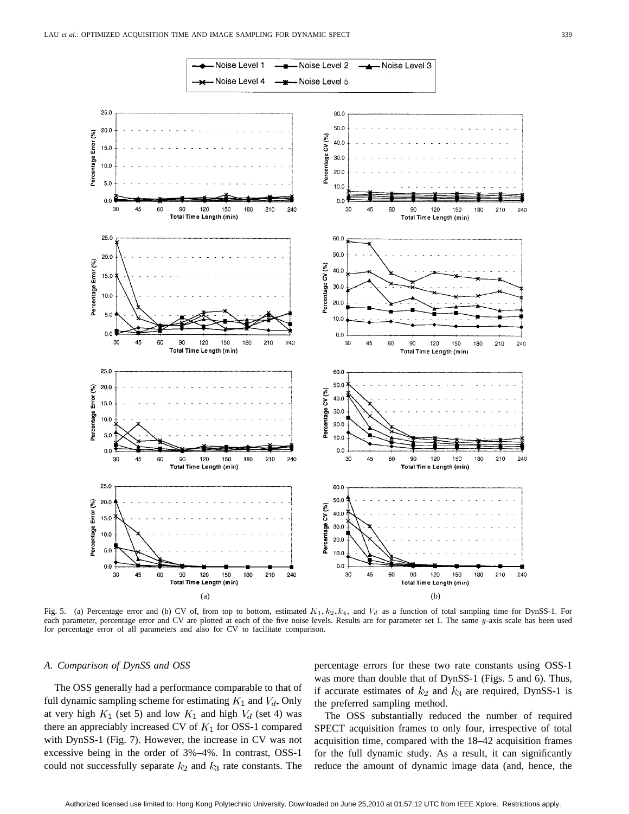

Fig. 5. (a) Percentage error and (b) CV of, from top to bottom, estimated  $K_1, k_2, k_4$ , and  $V_d$  as a function of total sampling time for DynSS-1. For each parameter, percentage error and CV are plotted at each of the five noise levels. Results are for parameter set 1. The same y-axis scale has been used for percentage error of all parameters and also for CV to facilitate comparison.

## *A. Comparison of DynSS and OSS*

The OSS generally had a performance comparable to that of full dynamic sampling scheme for estimating  $K_1$  and  $V_d$ . Only at very high  $K_1$  (set 5) and low  $K_1$  and high  $V_d$  (set 4) was there an appreciably increased CV of  $K_1$  for OSS-1 compared with DynSS-1 (Fig. 7). However, the increase in CV was not excessive being in the order of 3%–4%. In contrast, OSS-1 could not successfully separate  $k_2$  and  $k_3$  rate constants. The

percentage errors for these two rate constants using OSS-1 was more than double that of DynSS-1 (Figs. 5 and 6). Thus, if accurate estimates of  $k_2$  and  $k_3$  are required, DynSS-1 is the preferred sampling method.

The OSS substantially reduced the number of required SPECT acquisition frames to only four, irrespective of total acquisition time, compared with the 18–42 acquisition frames for the full dynamic study. As a result, it can significantly reduce the amount of dynamic image data (and, hence, the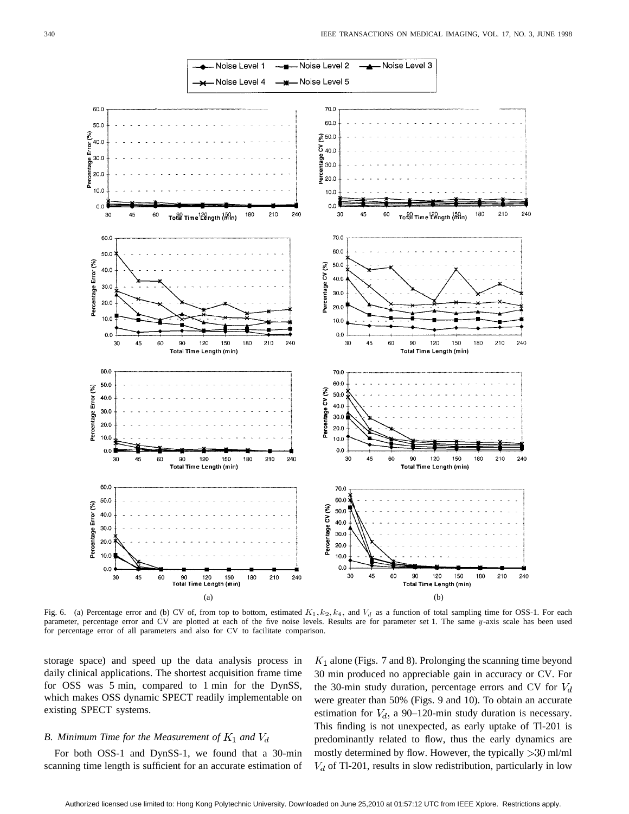

Fig. 6. (a) Percentage error and (b) CV of, from top to bottom, estimated  $K_1, k_2, k_4$ , and  $V_d$  as a function of total sampling time for OSS-1. For each parameter, percentage error and CV are plotted at each of the five noise levels. Results are for parameter set 1. The same y-axis scale has been used for percentage error of all parameters and also for CV to facilitate comparison.

storage space) and speed up the data analysis process in daily clinical applications. The shortest acquisition frame time for OSS was 5 min, compared to 1 min for the DynSS, which makes OSS dynamic SPECT readily implementable on existing SPECT systems.

## *B. Minimum Time for the Measurement of*  $K_1$  and  $V_d$

For both OSS-1 and DynSS-1, we found that a 30-min scanning time length is sufficient for an accurate estimation of  $K_1$  alone (Figs. 7 and 8). Prolonging the scanning time beyond 30 min produced no appreciable gain in accuracy or CV. For the 30-min study duration, percentage errors and CV for  $V_d$ were greater than 50% (Figs. 9 and 10). To obtain an accurate estimation for  $V_d$ , a 90–120-min study duration is necessary. This finding is not unexpected, as early uptake of Tl-201 is predominantly related to flow, thus the early dynamics are mostly determined by flow. However, the typically  $>$ 30 ml/ml  $V<sub>d</sub>$  of Tl-201, results in slow redistribution, particularly in low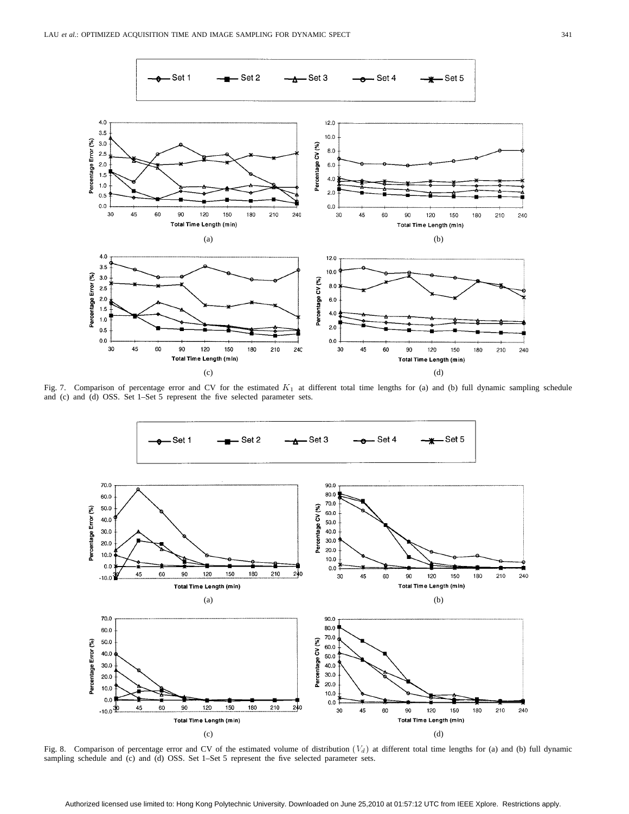

Fig. 7. Comparison of percentage error and CV for the estimated  $K_1$  at different total time lengths for (a) and (b) full dynamic sampling schedule and (c) and (d) OSS. Set 1–Set 5 represent the five selected parameter sets.



Fig. 8. Comparison of percentage error and CV of the estimated volume of distribution  $(V_d)$  at different total time lengths for (a) and (b) full dynamic sampling schedule and (c) and (d) OSS. Set 1-Set 5 represent the five selected parameter sets.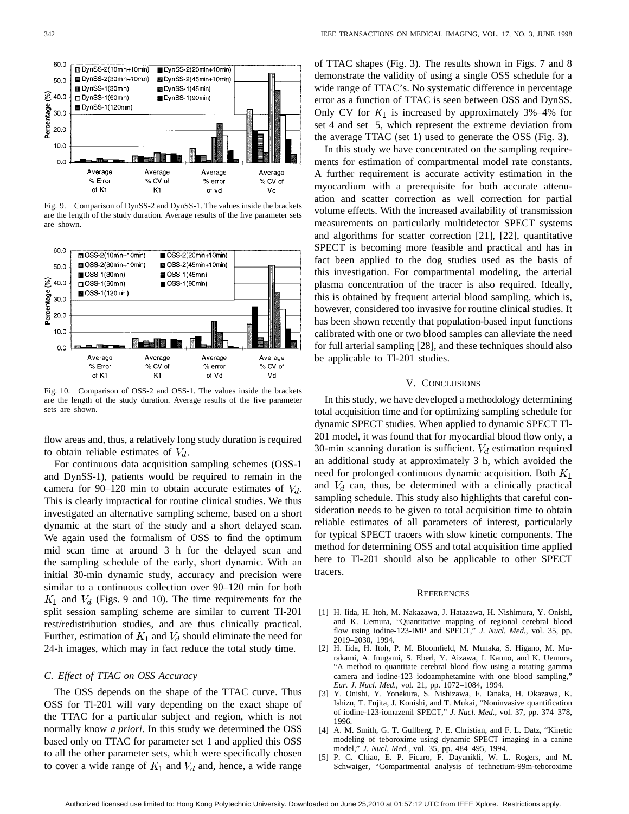

Fig. 9. Comparison of DynSS-2 and DynSS-1. The values inside the brackets are the length of the study duration. Average results of the five parameter sets are shown.



Fig. 10. Comparison of OSS-2 and OSS-1. The values inside the brackets are the length of the study duration. Average results of the five parameter sets are shown.

flow areas and, thus, a relatively long study duration is required to obtain reliable estimates of  $V_d$ .

For continuous data acquisition sampling schemes (OSS-1 and DynSS-1), patients would be required to remain in the camera for 90–120 min to obtain accurate estimates of  $V_d$ . This is clearly impractical for routine clinical studies. We thus investigated an alternative sampling scheme, based on a short dynamic at the start of the study and a short delayed scan. We again used the formalism of OSS to find the optimum mid scan time at around 3 h for the delayed scan and the sampling schedule of the early, short dynamic. With an initial 30-min dynamic study, accuracy and precision were similar to a continuous collection over 90–120 min for both  $K_1$  and  $V_d$  (Figs. 9 and 10). The time requirements for the split session sampling scheme are similar to current Tl-201 rest/redistribution studies, and are thus clinically practical. Further, estimation of  $K_1$  and  $V_d$  should eliminate the need for 24-h images, which may in fact reduce the total study time.

## *C. Effect of TTAC on OSS Accuracy*

The OSS depends on the shape of the TTAC curve. Thus OSS for Tl-201 will vary depending on the exact shape of the TTAC for a particular subject and region, which is not normally know *a priori*. In this study we determined the OSS based only on TTAC for parameter set 1 and applied this OSS to all the other parameter sets, which were specifically chosen to cover a wide range of  $K_1$  and  $V_d$  and, hence, a wide range of TTAC shapes (Fig. 3). The results shown in Figs. 7 and 8 demonstrate the validity of using a single OSS schedule for a wide range of TTAC's. No systematic difference in percentage error as a function of TTAC is seen between OSS and DynSS. Only CV for  $K_1$  is increased by approximately 3%–4% for set 4 and set 5, which represent the extreme deviation from the average TTAC (set 1) used to generate the OSS (Fig. 3).

In this study we have concentrated on the sampling requirements for estimation of compartmental model rate constants. A further requirement is accurate activity estimation in the myocardium with a prerequisite for both accurate attenuation and scatter correction as well correction for partial volume effects. With the increased availability of transmission measurements on particularly multidetector SPECT systems and algorithms for scatter correction [21], [22], quantitative SPECT is becoming more feasible and practical and has in fact been applied to the dog studies used as the basis of this investigation. For compartmental modeling, the arterial plasma concentration of the tracer is also required. Ideally, this is obtained by frequent arterial blood sampling, which is, however, considered too invasive for routine clinical studies. It has been shown recently that population-based input functions calibrated with one or two blood samples can alleviate the need for full arterial sampling [28], and these techniques should also be applicable to Tl-201 studies.

## V. CONCLUSIONS

In this study, we have developed a methodology determining total acquisition time and for optimizing sampling schedule for dynamic SPECT studies. When applied to dynamic SPECT Tl-201 model, it was found that for myocardial blood flow only, a 30-min scanning duration is sufficient.  $V_d$  estimation required an additional study at approximately 3 h, which avoided the need for prolonged continuous dynamic acquisition. Both  $K_1$ and  $V_d$  can, thus, be determined with a clinically practical sampling schedule. This study also highlights that careful consideration needs to be given to total acquisition time to obtain reliable estimates of all parameters of interest, particularly for typical SPECT tracers with slow kinetic components. The method for determining OSS and total acquisition time applied here to Tl-201 should also be applicable to other SPECT tracers.

#### **REFERENCES**

- [1] H. Iida, H. Itoh, M. Nakazawa, J. Hatazawa, H. Nishimura, Y. Onishi, and K. Uemura, "Quantitative mapping of regional cerebral blood flow using iodine-123-IMP and SPECT," *J. Nucl. Med.*, vol. 35, pp. 2019–2030, 1994.
- [2] H. Iida, H. Itoh, P. M. Bloomfield, M. Munaka, S. Higano, M. Murakami, A. Inugami, S. Eberl, Y. Aizawa, I. Kanno, and K. Uemura, "A method to quantitate cerebral blood flow using a rotating gamma camera and iodine-123 iodoamphetamine with one blood sampling," *Eur. J. Nucl. Med.*, vol. 21, pp. 1072–1084, 1994.
- [3] Y. Onishi, Y. Yonekura, S. Nishizawa, F. Tanaka, H. Okazawa, K. Ishizu, T. Fujita, J. Konishi, and T. Mukai, "Noninvasive quantification of iodine-123-iomazenil SPECT," *J. Nucl. Med.*, vol. 37, pp. 374–378, 1996.
- [4] A. M. Smith, G. T. Gullberg, P. E. Christian, and F. L. Datz, "Kinetic modeling of teboroxime using dynamic SPECT imaging in a canine model," *J. Nucl. Med.*, vol. 35, pp. 484–495, 1994.
- [5] P. C. Chiao, E. P. Ficaro, F. Dayanikli, W. L. Rogers, and M. Schwaiger, "Compartmental analysis of technetium-99m-teboroxime